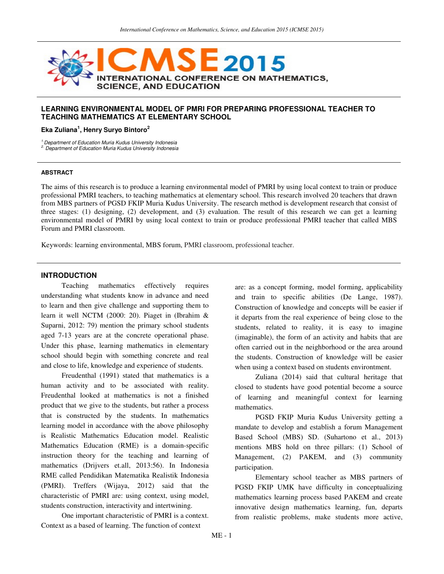

#### **LEARNING ENVIRONMENTAL MODEL OF PMRI FOR PREPARING PROFESSIONAL TEACHER TO TEACHING MATHEMATICS AT ELEMENTARY SCHOOL**

#### **Eka Zuliana<sup>1</sup> , Henry Suryo Bintoro<sup>2</sup>**

<sup>1.</sup> Department of Education Muria Kudus University Indonesia

2. Department of Education Muria Kudus University Indonesia

#### **ABSTRACT**

The aims of this research is to produce a learning environmental model of PMRI by using local context to train or produce professional PMRI teachers, to teaching mathematics at elementary school. This research involved 20 teachers that drawn from MBS partners of PGSD FKIP Muria Kudus University. The research method is development research that consist of three stages: (1) designing, (2) development, and (3) evaluation. The result of this research we can get a learning environmental model of PMRI by using local context to train or produce professional PMRI teacher that called MBS Forum and PMRI classroom.

Keywords: learning environmental, MBS forum, PMRI classroom, professional teacher.

#### **INTRODUCTION**

Teaching mathematics effectively requires understanding what students know in advance and need to learn and then give challenge and supporting them to learn it well NCTM (2000: 20). Piaget in (Ibrahim & Suparni, 2012: 79) mention the primary school students aged 7-13 years are at the concrete operational phase. Under this phase, learning mathematics in elementary school should begin with something concrete and real and close to life, knowledge and experience of students.

Freudenthal (1991) stated that mathematics is a human activity and to be associated with reality. Freudenthal looked at mathematics is not a finished product that we give to the students, but rather a process that is constructed by the students. In mathematics learning model in accordance with the above philosophy is Realistic Mathematics Education model. Realistic Mathematics Education (RME) is a domain-specific instruction theory for the teaching and learning of mathematics (Drijvers et.all, 2013:56). In Indonesia RME called Pendidikan Matematika Realistik Indonesia (PMRI). Treffers (Wijaya, 2012) said that the characteristic of PMRI are: using context, using model, students construction, interactivity and intertwining.

One important characteristic of PMRI is a context. Context as a based of learning. The function of context

are: as a concept forming, model forming, applicability and train to specific abilities (De Lange, 1987). Construction of knowledge and concepts will be easier if it departs from the real experience of being close to the students, related to reality, it is easy to imagine (imaginable), the form of an activity and habits that are often carried out in the neighborhood or the area around the students. Construction of knowledge will be easier when using a context based on students environtment.

Zuliana (2014) said that cultural heritage that closed to students have good potential become a source of learning and meaningful context for learning mathematics.

PGSD FKIP Muria Kudus University getting a mandate to develop and establish a forum Management Based School (MBS) SD. (Suhartono et al., 2013) mentions MBS hold on three pillars: (1) School of Management, (2) PAKEM, and (3) community participation.

Elementary school teacher as MBS partners of PGSD FKIP UMK have difficulty in conceptualizing mathematics learning process based PAKEM and create innovative design mathematics learning, fun, departs from realistic problems, make students more active,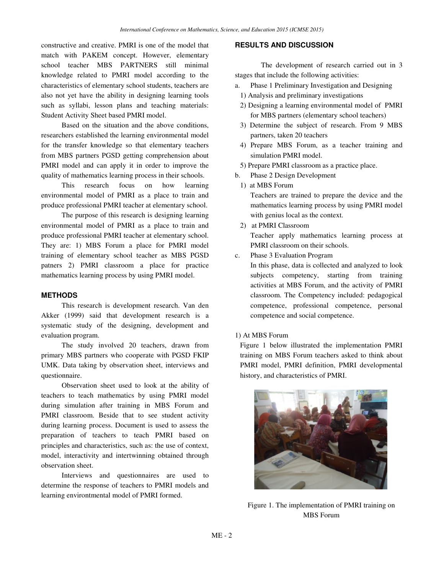constructive and creative. PMRI is one of the model that match with PAKEM concept. However, elementary school teacher MBS PARTNERS still minimal knowledge related to PMRI model according to the characteristics of elementary school students, teachers are also not yet have the ability in designing learning tools such as syllabi, lesson plans and teaching materials: Student Activity Sheet based PMRI model.

Based on the situation and the above conditions, researchers established the learning environmental model for the transfer knowledge so that elementary teachers from MBS partners PGSD getting comprehension about PMRI model and can apply it in order to improve the quality of mathematics learning process in their schools.

This research focus on how learning environmental model of PMRI as a place to train and produce professional PMRI teacher at elementary school.

The purpose of this research is designing learning environmental model of PMRI as a place to train and produce professional PMRI teacher at elementary school. They are: 1) MBS Forum a place for PMRI model training of elementary school teacher as MBS PGSD patners 2) PMRI classroom a place for practice mathematics learning process by using PMRI model.

## **METHODS**

This research is development research. Van den Akker (1999) said that development research is a systematic study of the designing, development and evaluation program.

The study involved 20 teachers, drawn from primary MBS partners who cooperate with PGSD FKIP UMK. Data taking by observation sheet, interviews and questionnaire.

Observation sheet used to look at the ability of teachers to teach mathematics by using PMRI model during simulation after training in MBS Forum and PMRI classroom. Beside that to see student activity during learning process. Document is used to assess the preparation of teachers to teach PMRI based on principles and characteristics, such as: the use of context, model, interactivity and intertwinning obtained through observation sheet.

Interviews and questionnaires are used to determine the response of teachers to PMRI models and learning environtmental model of PMRI formed.

## **RESULTS AND DISCUSSION**

The development of research carried out in 3 stages that include the following activities:

- a. Phase 1 Preliminary Investigation and Designing
	- 1) Analysis and preliminary investigations
- 2) Designing a learning environmental model of PMRI for MBS partners (elementary school teachers)
- 3) Determine the subject of research. From 9 MBS partners, taken 20 teachers
- 4) Prepare MBS Forum, as a teacher training and simulation PMRI model.
- 5) Prepare PMRI classroom as a practice place.
- b. Phase 2 Design Development
	- 1) at MBS Forum

Teachers are trained to prepare the device and the mathematics learning process by using PMRI model with genius local as the context.

- 2) at PMRI Classroom Teacher apply mathematics learning process at PMRI classroom on their schools.
- c. Phase 3 Evaluation Program

In this phase, data is collected and analyzed to look subjects competency, starting from training activities at MBS Forum, and the activity of PMRI classroom. The Competency included: pedagogical competence, professional competence, personal competence and social competence.

1) At MBS Forum

Figure 1 below illustrated the implementation PMRI training on MBS Forum teachers asked to think about PMRI model, PMRI definition, PMRI developmental history, and characteristics of PMRI.



Figure 1. The implementation of PMRI training on MBS Forum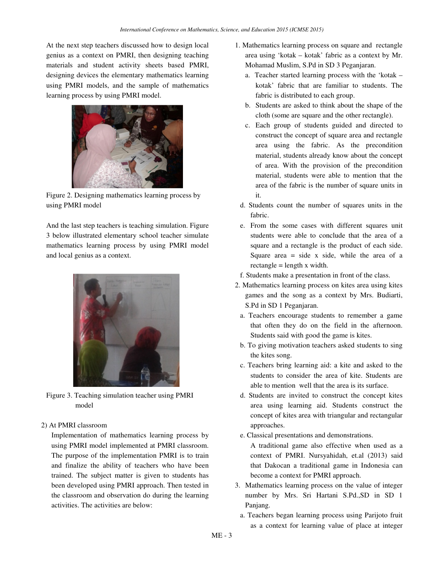At the next step teachers discussed how to design local genius as a context on PMRI, then designing teaching materials and student activity sheets based PMRI, designing devices the elementary mathematics learning using PMRI models, and the sample of mathematics learning process by using PMRI model.



Figure 2. Designing mathematics learning process by using PMRI model

And the last step teachers is teaching simulation. Figure 3 below illustrated elementary school teacher simulate mathematics learning process by using PMRI model and local genius as a context.



Figure 3. Teaching simulation teacher using PMRI model

#### 2) At PMRI classroom

Implementation of mathematics learning process by using PMRI model implemented at PMRI classroom. The purpose of the implementation PMRI is to train and finalize the ability of teachers who have been trained. The subject matter is given to students has been developed using PMRI approach. Then tested in the classroom and observation do during the learning activities. The activities are below:

- 1. Mathematics learning process on square and rectangle area using 'kotak – kotak' fabric as a context by Mr. Mohamad Muslim, S.Pd in SD 3 Peganjaran.
	- a. Teacher started learning process with the 'kotak kotak' fabric that are familiar to students. The fabric is distributed to each group.
	- b. Students are asked to think about the shape of the cloth (some are square and the other rectangle).
	- c. Each group of students guided and directed to construct the concept of square area and rectangle area using the fabric. As the precondition material, students already know about the concept of area. With the provision of the precondition material, students were able to mention that the area of the fabric is the number of square units in it.
- d. Students count the number of squares units in the fabric.
- e. From the some cases with different squares unit students were able to conclude that the area of a square and a rectangle is the product of each side. Square area  $=$  side  $x$  side, while the area of a rectangle = length x width.
- f. Students make a presentation in front of the class.
- 2. Mathematics learning process on kites area using kites games and the song as a context by Mrs. Budiarti, S.Pd in SD 1 Peganjaran.
- a. Teachers encourage students to remember a game that often they do on the field in the afternoon. Students said with good the game is kites.
- b. To giving motivation teachers asked students to sing the kites song.
- c. Teachers bring learning aid: a kite and asked to the students to consider the area of kite. Students are able to mention well that the area is its surface.
- d. Students are invited to construct the concept kites area using learning aid. Students construct the concept of kites area with triangular and rectangular approaches.
- e. Classical presentations and demonstrations.

A traditional game also effective when used as a context of PMRI. Nursyahidah, et.al (2013) said that Dakocan a traditional game in Indonesia can become a context for PMRI approach.

- 3. Mathematics learning process on the value of integer number by Mrs. Sri Hartani S.Pd.,SD in SD 1 Panjang.
- a. Teachers began learning process using Parijoto fruit as a context for learning value of place at integer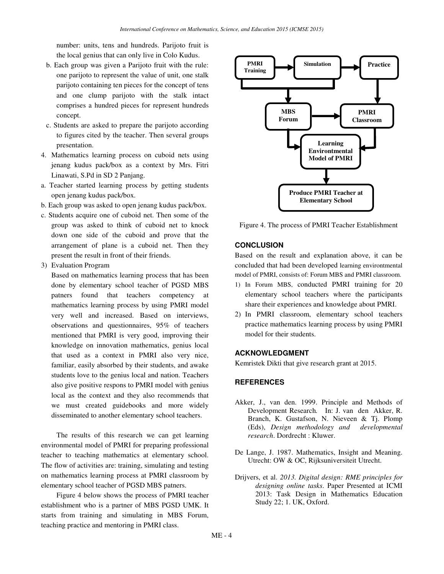number: units, tens and hundreds. Parijoto fruit is the local genius that can only live in Colo Kudus.

- b. Each group was given a Parijoto fruit with the rule: one parijoto to represent the value of unit, one stalk parijoto containing ten pieces for the concept of tens and one clump parijoto with the stalk intact comprises a hundred pieces for represent hundreds concept.
- c. Students are asked to prepare the parijoto according to figures cited by the teacher. Then several groups presentation.
- 4. Mathematics learning process on cuboid nets using jenang kudus pack/box as a context by Mrs. Fitri Linawati, S.Pd in SD 2 Panjang.
- a. Teacher started learning process by getting students open jenang kudus pack/box.
- b. Each group was asked to open jenang kudus pack/box.
- c. Students acquire one of cuboid net. Then some of the group was asked to think of cuboid net to knock down one side of the cuboid and prove that the arrangement of plane is a cuboid net. Then they present the result in front of their friends.
- 3) Evaluation Program

 Based on mathematics learning process that has been done by elementary school teacher of PGSD MBS patners found that teachers competency at mathematics learning process by using PMRI model very well and increased. Based on interviews, observations and questionnaires, 95% of teachers mentioned that PMRI is very good, improving their knowledge on innovation mathematics, genius local that used as a context in PMRI also very nice, familiar, easily absorbed by their students, and awake students love to the genius local and nation. Teachers also give positive respons to PMRI model with genius local as the context and they also recommends that we must created guidebooks and more widely disseminated to another elementary school teachers.

The results of this research we can get learning environmental model of PMRI for preparing professional teacher to teaching mathematics at elementary school. The flow of activities are: training, simulating and testing on mathematics learning process at PMRI classroom by elementary school teacher of PGSD MBS patners.

Figure 4 below shows the process of PMRI teacher establishment who is a partner of MBS PGSD UMK. It starts from training and simulating in MBS Forum, teaching practice and mentoring in PMRI class.



Figure 4. The process of PMRI Teacher Establishment

## **CONCLUSION**

Based on the result and explanation above, it can be concluded that had been developed learning environtmental model of PMRI, consists of: Forum MBS and PMRI classroom.

- 1) In Forum MBS, conducted PMRI training for 20 elementary school teachers where the participants share their experiences and knowledge about PMRI.
- 2) In PMRI classroom, elementary school teachers practice mathematics learning process by using PMRI model for their students.

## **ACKNOWLEDGMENT**

Kemristek Dikti that give research grant at 2015.

# **REFERENCES**

- Akker, J., van den. 1999. Principle and Methods of Development Research*.* In: J. van den Akker, R. Branch, K. Gustafson, N. Nieveen & Tj. Plomp (Eds), *Design methodology and developmental research*. Dordrecht : Kluwer.
- De Lange, J. 1987. Mathematics, Insight and Meaning. Utrecht: OW & OC, Rijksuniversiteit Utrecht.
- Drijvers, et al. *2013. Digital design: RME principles for designing online tasks*. Paper Presented at ICMI 2013: Task Design in Mathematics Education Study 22; 1. UK, Oxford.